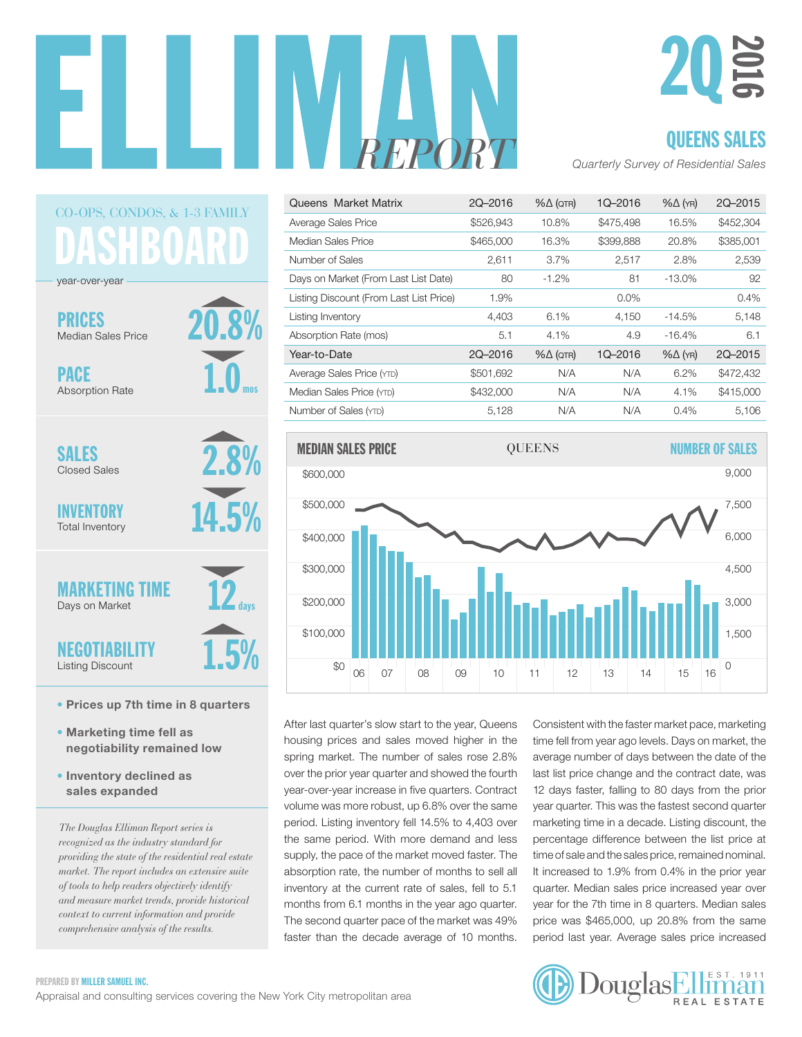



### QUEENS SALES

*REPORT Quarterly Survey of Residential Sales*

| Queens Market Matrix                    | 2Q-2016   | $% \triangle (QTR)$ | 1Q-2016   | $% \triangle (YR)$ | 2Q-2015   |
|-----------------------------------------|-----------|---------------------|-----------|--------------------|-----------|
| Average Sales Price                     | \$526,943 | 10.8%               | \$475,498 | 16.5%              | \$452,304 |
| Median Sales Price                      | \$465,000 | 16.3%               | \$399,888 | 20.8%              | \$385,001 |
| Number of Sales                         | 2,611     | $3.7\%$             | 2,517     | 2.8%               | 2,539     |
| Days on Market (From Last List Date)    | 80        | $-1.2\%$            | 81        | $-13.0\%$          | 92        |
| Listing Discount (From Last List Price) | 1.9%      |                     | $0.0\%$   |                    | 0.4%      |
| Listing Inventory                       | 4,403     | 6.1%                | 4,150     | $-14.5%$           | 5,148     |
| Absorption Rate (mos)                   | 5.1       | 4.1%                | 4.9       | $-16.4%$           | 6.1       |
| Year-to-Date                            | 2Q-2016   | $% \triangle (QTR)$ | 1Q-2016   | $% \triangle (YR)$ | 2Q-2015   |
| Average Sales Price (YTD)               | \$501,692 | N/A                 | N/A       | 6.2%               | \$472,432 |
| Median Sales Price (YTD)                | \$432,000 | N/A                 | N/A       | 4.1%               | \$415,000 |
| Number of Sales (YTD)                   | 5,128     | N/A                 | N/A       | 0.4%               | 5,106     |



After last quarter's slow start to the year, Queens housing prices and sales moved higher in the spring market. The number of sales rose 2.8% over the prior year quarter and showed the fourth year-over-year increase in five quarters. Contract volume was more robust, up 6.8% over the same period. Listing inventory fell 14.5% to 4,403 over the same period. With more demand and less supply, the pace of the market moved faster. The absorption rate, the number of months to sell all inventory at the current rate of sales, fell to  $5.1$ months from 6.1 months in the year ago quarter. The second quarter pace of the market was 49% faster than the decade average of 10 months.

Consistent with the faster market pace, marketing time fell from year ago levels. Days on market, the average number of days between the date of the last list price change and the contract date, was ar-over-year increase in five quarters. Contract 12 days faster, falling to 80 days from the prior year quarter. This was the fastest second quarter pear quarter. This was the factoot observa quarter.<br>marketing time in a decade. Listing discount, the percentage difference between the list price at time of sale and the sales price, remained nominal. It increased to 1.9% from 0.4% in the prior year quarter. Median sales price increased year over year for the 7th time in 8 quarters. Median sales price was \$465,000, up 20.8% from the same period last year. Average sales price increased 0



### **JASHBOAR** CO-OPS*,* CONDOS, & 1-3 FAMILY

20.8%

1.0

mos

2.8%

14.5%

12

1.5%

days

year-over-year

PRICES Median Sales Price

PACE Absorption Rate

SALES Closed Sales

INVENTORY Total Inventory

**MARKETING** Days on Market

NEGOTIABILITY Listing Discount

- Prices up 7th time in 8 quarters
- Marketing time fell as negotiability remained low
- Inventory declined as sales expanded

*The Douglas Elliman Report series is recognized as the industry standard for providing the state of the residential real estate market. The report includes an extensive suite of tools to help readers objectively identify and measure market trends, provide historical context to current information and provide comprehensive analysis of the results.*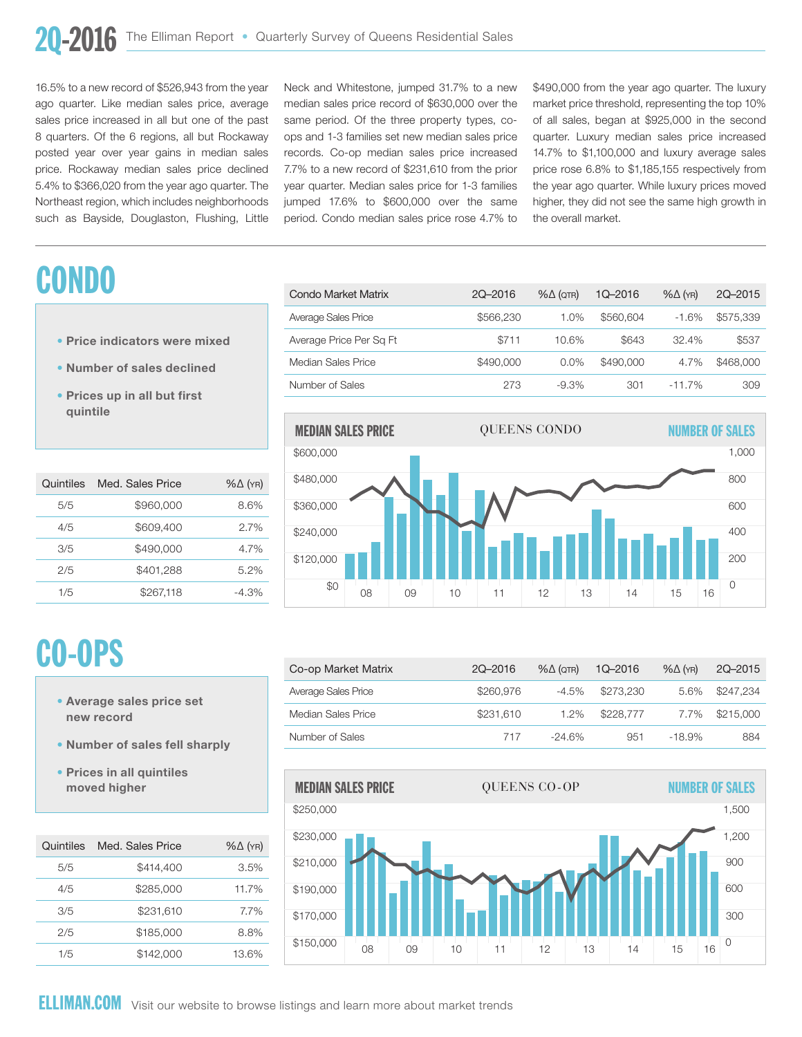\$200,000

16.5% to a new record of \$526,943 from the year ago quarter. Like median sales price, average sales price increased in all but one of the past 8 quarters. Of the 6 regions, all but Rockaway posted year over year gains in median sales price. Rockaway median sales price declined 5.4% to \$366,020 from the year ago quarter. The Northeast region, which includes neighborhoods such as Bayside, Douglaston, Flushing, Little

### **CONDO**

- Price indicators were mixed
- Number of sales declined
- Prices up in all but first quintile

| Quintiles | Med. Sales Price | $% \triangle (YR)$ |
|-----------|------------------|--------------------|
| 5/5       | \$960,000        | 8.6%               |
| 4/5       | \$609,400        | 2.7%               |
| 3/5       | \$490,000        | 4.7%               |
| 2/5       | \$401,288        | 5.2%               |
| 1/5       | \$267.118        | $-4.3%$            |

Neck and Whitestone, jumped 31.7% to a new median sales price record of \$630,000 over the same period. Of the three property types, coops and 1-3 families set new median sales price records. Co-op median sales price increased 7.7% to a new record of \$231,610 from the prior wear quarter. Median sales price for 1-3 families jumped  $17.6\%$  to  $$600,000$  over the same period. Condo median sales price rose 4.7% to the overall market.

eck and Whitestone, jumped 31.7% to a new \$490,000 from the year ago quarter. The luxury market price threshold, representing the top 10% manderphoe allochold, representing the top 10%<br>of all sales, began at \$925,000 in the second quarter. Luxury median sales price increased 14.7% to \$1,100,000 and luxury average sales price rose 6.8% to \$1,185,155 respectively from the year ago quarter. While luxury prices moved higher, they did not see the same high growth in the overall market.

3,000

| Condo Market Matrix     | 2Q-2016   | $% \triangle (QTR)$ | 1Q-2016   | $% \triangle (YR)$ | 2Q-2015   |
|-------------------------|-----------|---------------------|-----------|--------------------|-----------|
| Average Sales Price     | \$566,230 | 1.0%                | \$560,604 | $-1.6%$            | \$575,339 |
| Average Price Per Sq Ft | \$711     | 10.6%               | \$643     | $32.4\%$           | \$537     |
| Median Sales Price      | \$490,000 | $0.0\%$             | \$490,000 | 4.7%               | \$468,000 |
| Number of Sales         | 273       | $-9.3\%$            | 301       | $-11.7%$           | 309       |
|                         |           |                     |           |                    |           |



## CO-OPS

- Average sales price set new record
- Number of sales fell sharply
- Prices in all quintiles moved higher

| Quintiles | Med. Sales Price | $% \triangle (YR)$ |
|-----------|------------------|--------------------|
| 5/5       | \$414,400        | 3.5%               |
| 4/5       | \$285,000        | 11.7%              |
| 3/5       | \$231,610        | 7.7%               |
| 2/5       | \$185,000        | 8.8%               |
| 1/5       | \$142,000        | 13.6%              |

| Co-op Market Matrix | 2Q-2016   | $% \triangle (QTR)$ | $1Q - 2016$ | $%$ $\Delta$ (YR) | 2Q-2015   |
|---------------------|-----------|---------------------|-------------|-------------------|-----------|
| Average Sales Price | \$260,976 | $-4.5%$             | \$273,230   | 5.6%              | \$247.234 |
| Median Sales Price  | \$231.610 | 1.2%                | \$228,777   | 7.7%              | \$215.000 |
| Number of Sales     | 717       | $-24.6%$            | 951         | -18.9%            | 884       |

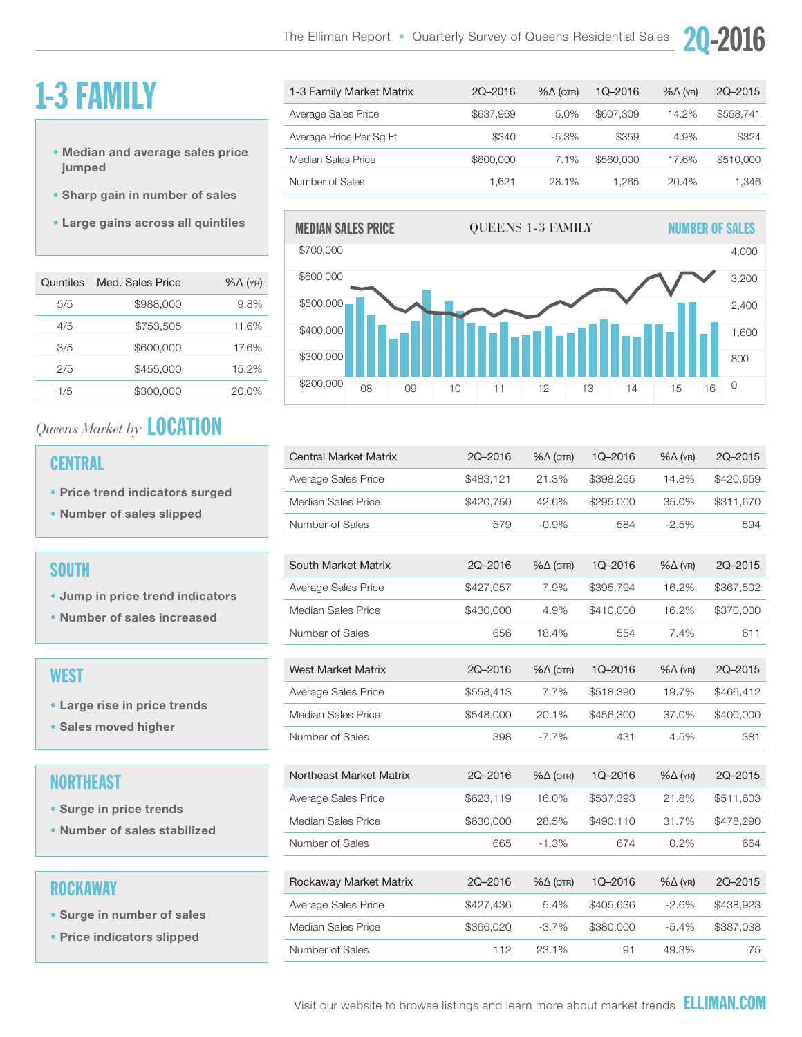### 1-3 FAMILY

- Median and average sales price jumped
- Sharp gain in number of sales
- Large gains across all quintiles

| Quintiles | Med. Sales Price | $%$ $\Delta$ (YR) |
|-----------|------------------|-------------------|
| 5/5       | \$988,000        | 9.8%              |
| 4/5       | \$753.505        | 11.6%             |
| 3/5       | \$600,000        | 17.6%             |
| 2/5       | \$455,000        | 15.2%             |
| 1/5       | \$300.000        | 20.0%             |

### *Queens Market by* LOCATION

#### **CENTRAL**

- Price trend indicators surged
- Number of sales slipped

#### **SOUTH**

- Jump in price trend indicators
- Number of sales increased

#### **WEST**

- Large rise in price trends
- Sales moved higher

#### **NORTHEAST**

- Surge in price trends
- Number of sales stabilized

#### ROCKAWAY

- Surge in number of sales
- Price indicators slipped

| 1-3 Family Market Matrix | 2Q-2016   | $% \triangle (QTR)$ | $1Q - 2016$ | $% \triangle (YR)$ | 2Q-2015   |
|--------------------------|-----------|---------------------|-------------|--------------------|-----------|
| Average Sales Price      | \$637,969 | 5.0%                | \$607,309   | 14.2%              | \$558.741 |
| Average Price Per Sq Ft  | \$340     | $-5.3\%$            | \$359       | 4.9%               | \$324     |
| Median Sales Price       | \$600,000 | 7.1%                | \$560,000   | 17.6%              | \$510,000 |
| Number of Sales          | 1.621     | 28.1%               | 1.265       | 20.4%              | 1.346     |

20-2



| <b>Central Market Matrix</b> | 2Q-2016   | $% \triangle (QTR)$ | 1Q-2016   | $% \triangle (YR)$ | 2Q-2015   |
|------------------------------|-----------|---------------------|-----------|--------------------|-----------|
| Average Sales Price          | \$483,121 | 21.3%               | \$398,265 | 14.8%              | \$420,659 |
| Median Sales Price           | \$420,750 | 42.6%               | \$295,000 | 35.0%              | \$311,670 |
| Number of Sales              | 579       | $-0.9%$             | 584       | $-2.5%$            | 594       |
|                              |           |                     |           |                    |           |
| South Market Matrix          | 2Q-2016   | $% \triangle (QTR)$ | 1Q-2016   | $% \triangle (YR)$ | 2Q-2015   |
| Average Sales Price          | \$427,057 | 7.9%                | \$395,794 | 16.2%              | \$367,502 |
| Median Sales Price           | \$430,000 | 4.9%                | \$410,000 | 16.2%              | \$370,000 |
| Number of Sales              | 656       | 18.4%               | 554       | 7.4%               | 611       |
|                              |           |                     |           |                    |           |
| <b>West Market Matrix</b>    | 2Q-2016   | $% \triangle (QTR)$ | 1Q-2016   | $% \triangle (YR)$ | 2Q-2015   |
| Average Sales Price          | \$558,413 | 7.7%                | \$518,390 | 19.7%              | \$466,412 |
| Median Sales Price           | \$548,000 | 20.1%               | \$456,300 | 37.0%              | \$400,000 |
| Number of Sales              | 398       | $-7.7%$             | 431       | 4.5%               | 381       |
|                              |           |                     |           |                    |           |
| Northeast Market Matrix      | 2Q-2016   | $% \triangle (QTR)$ | 1Q-2016   | $% \triangle (YR)$ | 2Q-2015   |
| Average Sales Price          | \$623,119 | 16.0%               | \$537,393 | 21.8%              | \$511,603 |
| Median Sales Price           | \$630,000 | 28.5%               | \$490.110 | 31.7%              | \$478,290 |
| Number of Sales              | 665       | $-1.3%$             | 674       | 0.2%               | 664       |
|                              |           |                     |           |                    |           |
| Rockaway Market Matrix       | 2Q-2016   | $% \triangle (QTR)$ | 1Q-2016   | $% \triangle (YR)$ | 2Q-2015   |
| Average Sales Price          | \$427,436 | 5.4%                | \$405,636 | $-2.6%$            | \$438,923 |
| Median Sales Price           | \$366,020 | $-3.7%$             | \$380,000 | $-5.4%$            | \$387,038 |
| Number of Sales              | 112       | 23.1%               | 91        | 49.3%              | 75        |